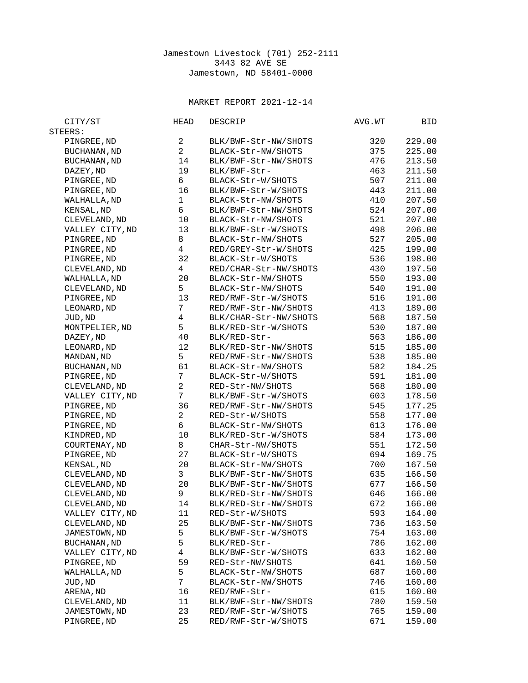## MARKET REPORT 2021-12-14

| CITY/ST             | <b>HEAD</b>    | DESCRIP               | AVG.WT     | BID              |
|---------------------|----------------|-----------------------|------------|------------------|
| STEERS:             |                |                       |            |                  |
| PINGREE, ND         | $\overline{2}$ | BLK/BWF-Str-NW/SHOTS  | 320        | 229.00           |
| <b>BUCHANAN, ND</b> | $\overline{2}$ | BLACK-Str-NW/SHOTS    | 375        | 225.00           |
| BUCHANAN, ND        | 14             | BLK/BWF-Str-NW/SHOTS  | 476        | 213.50           |
| DAZEY, ND           | 19             | BLK/BWF-Str-          | 463        | 211.50           |
| PINGREE, ND         | 6              | BLACK-Str-W/SHOTS     | 507        | 211.00           |
| PINGREE, ND         | 16             | BLK/BWF-Str-W/SHOTS   | 443        | 211.00           |
| WALHALLA, ND        | $\mathbf{1}$   | BLACK-Str-NW/SHOTS    | 410        | 207.50           |
| <b>KENSAL, ND</b>   | 6              | BLK/BWF-Str-NW/SHOTS  | 524        | 207.00           |
| CLEVELAND, ND       | 10             | BLACK-Str-NW/SHOTS    | 521        | 207.00           |
| VALLEY CITY, ND     | 13             | BLK/BWF-Str-W/SHOTS   | 498        | 206.00           |
| PINGREE, ND         | 8              | BLACK-Str-NW/SHOTS    | 527        | 205.00           |
| PINGREE, ND         | $\overline{4}$ | RED/GREY-Str-W/SHOTS  | 425        | 199.00           |
| PINGREE, ND         | 32             | BLACK-Str-W/SHOTS     | 536        | 198.00           |
| CLEVELAND, ND       | $\overline{4}$ | RED/CHAR-Str-NW/SHOTS | 430        | 197.50           |
| WALHALLA, ND        | 20             | BLACK-Str-NW/SHOTS    | 550        | 193.00           |
| CLEVELAND, ND       | 5              | BLACK-Str-NW/SHOTS    | 540        | 191.00           |
| PINGREE, ND         | 13             | RED/RWF-Str-W/SHOTS   | 516        | 191.00           |
| LEONARD, ND         | $\overline{7}$ | RED/RWF-Str-NW/SHOTS  | 413        | 189.00           |
| JUD, ND             | 4              | BLK/CHAR-Str-NW/SHOTS | 568        | 187.50           |
| MONTPELIER, ND      | 5              | BLK/RED-Str-W/SHOTS   | 530        | 187.00           |
| DAZEY, ND           | 40             | BLK/RED-Str-          | 563        | 186.00           |
| LEONARD, ND         | 12             | BLK/RED-Str-NW/SHOTS  | 515        | 185.00           |
| MANDAN, ND          | 5              | RED/RWF-Str-NW/SHOTS  | 538        | 185.00           |
| <b>BUCHANAN, ND</b> | 61             | BLACK-Str-NW/SHOTS    | 582        | 184.25           |
| PINGREE, ND         | $\overline{7}$ | BLACK-Str-W/SHOTS     | 591        | 181.00           |
|                     | $\overline{2}$ | RED-Str-NW/SHOTS      | 568        | 180.00           |
| CLEVELAND, ND       | $\overline{7}$ | BLK/BWF-Str-W/SHOTS   | 603        | 178.50           |
| VALLEY CITY, ND     | 36             |                       |            |                  |
| PINGREE, ND         | $\overline{2}$ | RED/RWF-Str-NW/SHOTS  | 545        | 177.25           |
| PINGREE, ND         | 6              | RED-Str-W/SHOTS       | 558<br>613 | 177.00<br>176.00 |
| PINGREE, ND         | 10             | BLACK-Str-NW/SHOTS    |            |                  |
| KINDRED, ND         |                | BLK/RED-Str-W/SHOTS   | 584        | 173.00           |
| COURTENAY, ND       | 8<br>27        | CHAR-Str-NW/SHOTS     | 551        | 172.50<br>169.75 |
| PINGREE, ND         |                | BLACK-Str-W/SHOTS     | 694        |                  |
| KENSAL, ND          | 20             | BLACK-Str-NW/SHOTS    | 700        | 167.50           |
| CLEVELAND, ND       | 3              | BLK/BWF-Str-NW/SHOTS  | 635        | 166.50           |
| CLEVELAND, ND       | 20             | BLK/BWF-Str-NW/SHOTS  | 677        | 166.50           |
| CLEVELAND, ND       | 9              | BLK/RED-Str-NW/SHOTS  | 646        | 166.00           |
| CLEVELAND, ND       | 14             | BLK/RED-Str-NW/SHOTS  | 672        | 166.00           |
| VALLEY CITY, ND     | 11             | RED-Str-W/SHOTS       | 593        | 164.00           |
| CLEVELAND, ND       | 25             | BLK/BWF-Str-NW/SHOTS  | 736        | 163.50           |
| JAMESTOWN, ND       | 5              | BLK/BWF-Str-W/SHOTS   | 754        | 163.00           |
| BUCHANAN, ND        | 5              | BLK/RED-Str-          | 786        | 162.00           |
| VALLEY CITY, ND     | $\overline{4}$ | BLK/BWF-Str-W/SHOTS   | 633        | 162.00           |
| PINGREE, ND         | 59             | RED-Str-NW/SHOTS      | 641        | 160.50           |
| WALHALLA, ND        | 5              | BLACK-Str-NW/SHOTS    | 687        | 160.00           |
| JUD, ND             | $\overline{7}$ | BLACK-Str-NW/SHOTS    | 746        | 160.00           |
| ARENA, ND           | 16             | RED/RWF-Str-          | 615        | 160.00           |
| CLEVELAND, ND       | 11             | BLK/BWF-Str-NW/SHOTS  | 780        | 159.50           |
| JAMESTOWN, ND       | 23             | RED/RWF-Str-W/SHOTS   | 765        | 159.00           |
| PINGREE, ND         | 25             | RED/RWF-Str-W/SHOTS   | 671        | 159.00           |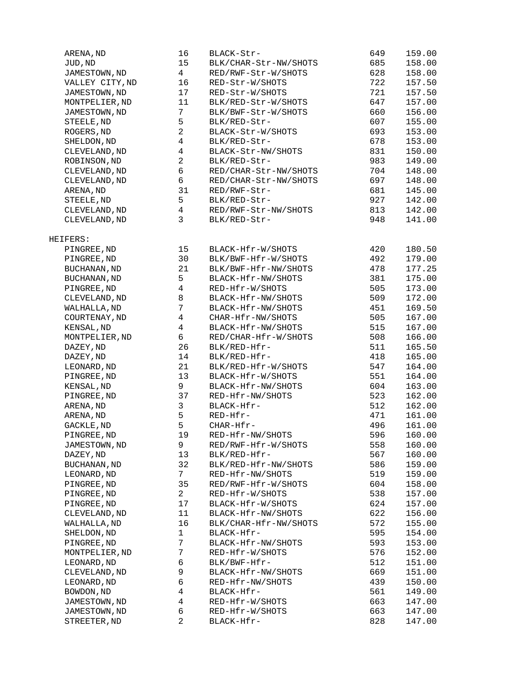| ARENA, ND                 | 16             | BLACK-Str-            | 649 | 159.00 |
|---------------------------|----------------|-----------------------|-----|--------|
| JUD, ND                   | 15             | BLK/CHAR-Str-NW/SHOTS | 685 | 158.00 |
| JAMESTOWN, ND             | 4              | RED/RWF-Str-W/SHOTS   | 628 | 158.00 |
| VALLEY CITY, ND           | 16             | RED-Str-W/SHOTS       | 722 | 157.50 |
| JAMESTOWN, ND             | 17             | RED-Str-W/SHOTS       | 721 | 157.50 |
| MONTPELIER, ND            | 11             | BLK/RED-Str-W/SHOTS   | 647 | 157.00 |
| JAMESTOWN, ND             | $\overline{7}$ | BLK/BWF-Str-W/SHOTS   | 660 | 156.00 |
| STEELE, ND                | 5              | BLK/RED-Str-          | 607 | 155.00 |
| ROGERS, ND                | $\overline{c}$ | BLACK-Str-W/SHOTS     | 693 | 153.00 |
| SHELDON, ND               | 4              | BLK/RED-Str-          | 678 | 153.00 |
| CLEVELAND, ND             | 4              | BLACK-Str-NW/SHOTS    | 831 | 150.00 |
| ROBINSON, ND              | $\overline{2}$ | BLK/RED-Str-          | 983 | 149.00 |
| CLEVELAND, ND             | 6              | RED/CHAR-Str-NW/SHOTS | 704 | 148.00 |
| CLEVELAND, ND             | 6              | RED/CHAR-Str-NW/SHOTS | 697 | 148.00 |
| ARENA, ND                 | 31             | RED/RWF-Str-          | 681 | 145.00 |
| STEELE, ND                | 5              | BLK/RED-Str-          | 927 | 142.00 |
| CLEVELAND, ND             | 4              | RED/RWF-Str-NW/SHOTS  | 813 | 142.00 |
|                           | 3              |                       |     | 141.00 |
| CLEVELAND, ND             |                | BLK/RED-Str-          | 948 |        |
| HEIFERS:                  |                |                       |     |        |
| PINGREE, ND               | 15             | BLACK-Hfr-W/SHOTS     | 420 | 180.50 |
| PINGREE, ND               | 30             | BLK/BWF-Hfr-W/SHOTS   | 492 | 179.00 |
| <b>BUCHANAN, ND</b>       | 21             | BLK/BWF-Hfr-NW/SHOTS  | 478 | 177.25 |
| <b>BUCHANAN, ND</b>       | 5              | BLACK-Hfr-NW/SHOTS    | 381 | 175.00 |
| PINGREE, ND               | $\overline{4}$ | RED-Hfr-W/SHOTS       | 505 | 173.00 |
| CLEVELAND, ND             | 8              | BLACK-Hfr-NW/SHOTS    | 509 | 172.00 |
| WALHALLA, ND              | $\overline{7}$ | BLACK-Hfr-NW/SHOTS    | 451 | 169.50 |
| COURTENAY, ND             | 4              | CHAR-Hfr-NW/SHOTS     | 505 | 167.00 |
| KENSAL, ND                | 4              | BLACK-Hfr-NW/SHOTS    | 515 | 167.00 |
| MONTPELIER, ND            | 6              | RED/CHAR-Hfr-W/SHOTS  | 508 | 166.00 |
| DAZEY, ND                 | 26             | BLK/RED-Hfr-          | 511 | 165.50 |
| DAZEY, ND                 | 14             | BLK/RED-Hfr-          | 418 | 165.00 |
| LEONARD, ND               | 21             | BLK/RED-Hfr-W/SHOTS   | 547 | 164.00 |
| PINGREE, ND               | 13             | BLACK-Hfr-W/SHOTS     | 551 | 164.00 |
|                           | 9              |                       |     | 163.00 |
| KENSAL, ND<br>PINGREE, ND | 37             | BLACK-Hfr-NW/SHOTS    | 604 |        |
|                           |                | RED-Hfr-NW/SHOTS      | 523 | 162.00 |
| ARENA, ND                 | 3              | BLACK-Hfr-            | 512 | 162.00 |
| ARENA, ND                 | 5              | RED-Hfr-              | 471 | 161.00 |
| GACKLE, ND                | 5              | CHAR-Hfr-             | 496 | 161.00 |
| PINGREE, ND               | 19             | RED-Hfr-NW/SHOTS      | 596 | 160.00 |
| JAMESTOWN, ND             | 9              | RED/RWF-Hfr-W/SHOTS   | 558 | 160.00 |
| DAZEY, ND                 | 13             | BLK/RED-Hfr-          | 567 | 160.00 |
| <b>BUCHANAN, ND</b>       | 32             | BLK/RED-Hfr-NW/SHOTS  | 586 | 159.00 |
| LEONARD, ND               | $\overline{7}$ | RED-Hfr-NW/SHOTS      | 519 | 159.00 |
| PINGREE, ND               | 35             | RED/RWF-Hfr-W/SHOTS   | 604 | 158.00 |
| PINGREE, ND               | $\overline{a}$ | RED-Hfr-W/SHOTS       | 538 | 157.00 |
| PINGREE, ND               | 17             | BLACK-Hfr-W/SHOTS     | 624 | 157.00 |
| CLEVELAND, ND             | 11             | BLACK-Hfr-NW/SHOTS    | 622 | 156.00 |
| WALHALLA, ND              | 16             | BLK/CHAR-Hfr-NW/SHOTS | 572 | 155.00 |
| SHELDON, ND               | 1              | BLACK-Hfr-            | 595 | 154.00 |
| PINGREE, ND               | $\overline{7}$ | BLACK-Hfr-NW/SHOTS    | 593 | 153.00 |
| MONTPELIER, ND            | 7              | RED-Hfr-W/SHOTS       | 576 | 152.00 |
| LEONARD, ND               | 6              | BLK/BWF-Hfr-          | 512 | 151.00 |
| CLEVELAND, ND             | 9              | BLACK-Hfr-NW/SHOTS    | 669 | 151.00 |
| LEONARD, ND               | 6              | RED-Hfr-NW/SHOTS      | 439 | 150.00 |
| BOWDON, ND                | 4              | BLACK-Hfr-            | 561 | 149.00 |
| JAMESTOWN, ND             | 4              | RED-Hfr-W/SHOTS       | 663 | 147.00 |
| JAMESTOWN, ND             | 6              | RED-Hfr-W/SHOTS       | 663 | 147.00 |
| STREETER, ND              | $\overline{2}$ | BLACK-Hfr-            | 828 | 147.00 |
|                           |                |                       |     |        |